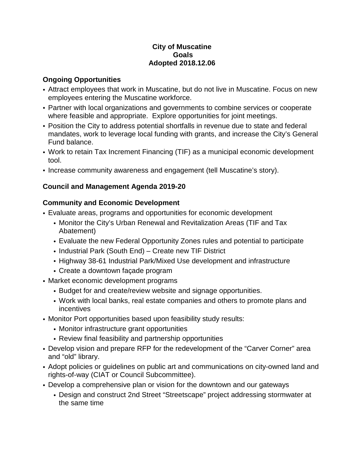#### **City of Muscatine Goals Adopted 2018.12.06**

#### **Ongoing Opportunities**

- Attract employees that work in Muscatine, but do not live in Muscatine. Focus on new employees entering the Muscatine workforce.
- Partner with local organizations and governments to combine services or cooperate where feasible and appropriate. Explore opportunities for joint meetings.
- Position the City to address potential shortfalls in revenue due to state and federal mandates, work to leverage local funding with grants, and increase the City's General Fund balance.
- Work to retain Tax Increment Financing (TIF) as a municipal economic development tool.
- Increase community awareness and engagement (tell Muscatine's story).

## **Council and Management Agenda 2019-20**

## **Community and Economic Development**

- Evaluate areas, programs and opportunities for economic development
	- Monitor the City's Urban Renewal and Revitalization Areas (TIF and Tax Abatement)
	- Evaluate the new Federal Opportunity Zones rules and potential to participate
	- Industrial Park (South End) Create new TIF District
	- Highway 38-61 Industrial Park/Mixed Use development and infrastructure
	- Create a downtown façade program
- Market economic development programs
	- Budget for and create/review website and signage opportunities.
	- Work with local banks, real estate companies and others to promote plans and incentives
- Monitor Port opportunities based upon feasibility study results:
	- Monitor infrastructure grant opportunities
	- Review final feasibility and partnership opportunities
- Develop vision and prepare RFP for the redevelopment of the "Carver Corner" area and "old" library.
- Adopt policies or guidelines on public art and communications on city-owned land and rights-of-way (CIAT or Council Subcommittee).
- Develop a comprehensive plan or vision for the downtown and our gateways
	- Design and construct 2nd Street "Streetscape" project addressing stormwater at the same time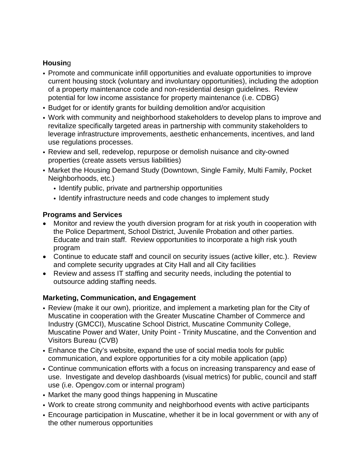## **Housin**g

- Promote and communicate infill opportunities and evaluate opportunities to improve current housing stock (voluntary and involuntary opportunities), including the adoption of a property maintenance code and non-residential design guidelines. Review potential for low income assistance for property maintenance (i.e. CDBG)
- Budget for or identify grants for building demolition and/or acquisition
- Work with community and neighborhood stakeholders to develop plans to improve and revitalize specifically targeted areas in partnership with community stakeholders to leverage infrastructure improvements, aesthetic enhancements, incentives, and land use regulations processes.
- Review and sell, redevelop, repurpose or demolish nuisance and city-owned properties (create assets versus liabilities)
- Market the Housing Demand Study (Downtown, Single Family, Multi Family, Pocket Neighborhoods, etc.)
	- Identify public, private and partnership opportunities
	- Identify infrastructure needs and code changes to implement study

#### **Programs and Services**

- Monitor and review the youth diversion program for at risk youth in cooperation with the Police Department, School District, Juvenile Probation and other parties. Educate and train staff. Review opportunities to incorporate a high risk youth program
- Continue to educate staff and council on security issues (active killer, etc.). Review and complete security upgrades at City Hall and all City facilities
- Review and assess IT staffing and security needs, including the potential to outsource adding staffing needs.

### **Marketing, Communication, and Engagement**

- Review (make it our own), prioritize, and implement a marketing plan for the City of Muscatine in cooperation with the Greater Muscatine Chamber of Commerce and Industry (GMCCI), Muscatine School District, Muscatine Community College, Muscatine Power and Water, Unity Point - Trinity Muscatine, and the Convention and Visitors Bureau (CVB)
- Enhance the City's website, expand the use of social media tools for public communication, and explore opportunities for a city mobile application (app)
- Continue communication efforts with a focus on increasing transparency and ease of use. Investigate and develop dashboards (visual metrics) for public, council and staff use (i.e. Opengov.com or internal program)
- Market the many good things happening in Muscatine
- Work to create strong community and neighborhood events with active participants
- Encourage participation in Muscatine, whether it be in local government or with any of the other numerous opportunities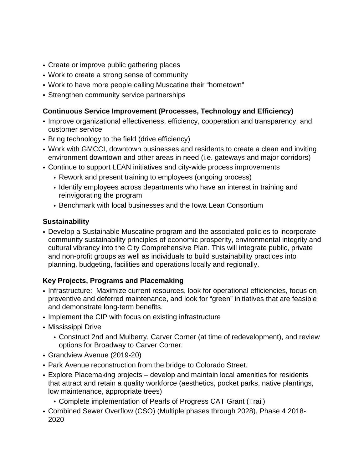- Create or improve public gathering places
- Work to create a strong sense of community
- Work to have more people calling Muscatine their "hometown"
- Strengthen community service partnerships

# **Continuous Service Improvement (Processes, Technology and Efficiency)**

- Improve organizational effectiveness, efficiency, cooperation and transparency, and customer service
- Bring technology to the field (drive efficiency)
- Work with GMCCI, downtown businesses and residents to create a clean and inviting environment downtown and other areas in need (i.e. gateways and major corridors)
- Continue to support LEAN initiatives and city-wide process improvements
	- Rework and present training to employees (ongoing process)
	- Identify employees across departments who have an interest in training and reinvigorating the program
	- Benchmark with local businesses and the Iowa Lean Consortium

## **Sustainability**

• Develop a Sustainable Muscatine program and the associated policies to incorporate community sustainability principles of economic prosperity, environmental integrity and cultural vibrancy into the City Comprehensive Plan. This will integrate public, private and non-profit groups as well as individuals to build sustainability practices into planning, budgeting, facilities and operations locally and regionally.

# **Key Projects, Programs and Placemaking**

- Infrastructure: Maximize current resources, look for operational efficiencies, focus on preventive and deferred maintenance, and look for "green" initiatives that are feasible and demonstrate long-term benefits.
- Implement the CIP with focus on existing infrastructure
- Mississippi Drive
	- Construct 2nd and Mulberry, Carver Corner (at time of redevelopment), and review options for Broadway to Carver Corner.
- Grandview Avenue (2019-20)
- Park Avenue reconstruction from the bridge to Colorado Street.
- Explore Placemaking projects develop and maintain local amenities for residents that attract and retain a quality workforce (aesthetics, pocket parks, native plantings, low maintenance, appropriate trees)
	- Complete implementation of Pearls of Progress CAT Grant (Trail)
- Combined Sewer Overflow (CSO) (Multiple phases through 2028), Phase 4 2018- 2020